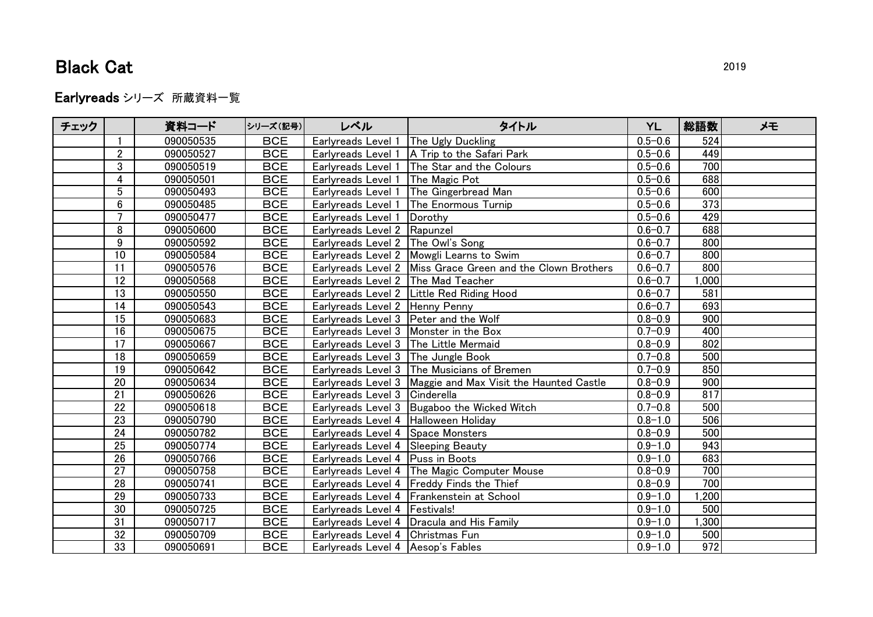## Black Cat 2019

Earlyreads シリーズ 所蔵資料一覧

| チェック |                 | 資料コード     | シリーズ(記号)   | レベル                                     | タイトル                                                         | <b>YL</b>   | 総語数   | メモ |
|------|-----------------|-----------|------------|-----------------------------------------|--------------------------------------------------------------|-------------|-------|----|
|      |                 | 090050535 | <b>BCE</b> | Earlyreads Level 1                      | <b>The Ugly Duckling</b>                                     | $0.5 - 0.6$ | 524   |    |
|      | $\overline{2}$  | 090050527 | <b>BCE</b> | Earlyreads Level 1                      | A Trip to the Safari Park                                    | $0.5 - 0.6$ | 449   |    |
|      | 3               | 090050519 | <b>BCE</b> | Earlyreads Level 1                      | The Star and the Colours                                     | $0.5 - 0.6$ | 700   |    |
|      | 4               | 090050501 | <b>BCE</b> | Earlyreads Level 1                      | The Magic Pot                                                | $0.5 - 0.6$ | 688   |    |
|      | $\overline{5}$  | 090050493 | <b>BCE</b> | Earlyreads Level 1                      | The Gingerbread Man                                          | $0.5 - 0.6$ | 600   |    |
|      | 6               | 090050485 | <b>BCE</b> | Earlyreads Level 1                      | The Enormous Turnip                                          | $0.5 - 0.6$ | 373   |    |
|      | $\overline{7}$  | 090050477 | <b>BCE</b> | Earlyreads Level 1                      | Dorothy                                                      | $0.5 - 0.6$ | 429   |    |
|      | 8               | 090050600 | <b>BCE</b> | Earlyreads Level 2 Rapunzel             |                                                              | $0.6 - 0.7$ | 688   |    |
|      | 9               | 090050592 | <b>BCE</b> | Earlyreads Level 2   The Owl's Song     |                                                              | $0.6 - 0.7$ | 800   |    |
|      | 10              | 090050584 | <b>BCE</b> |                                         | Earlyreads Level 2   Mowgli Learns to Swim                   | $0.6 - 0.7$ | 800   |    |
|      | 11              | 090050576 | <b>BCE</b> |                                         | Earlyreads Level 2   Miss Grace Green and the Clown Brothers | $0.6 - 0.7$ | 800   |    |
|      | 12              | 090050568 | <b>BCE</b> | Earlyreads Level 2 The Mad Teacher      |                                                              | $0.6 - 0.7$ | 1,000 |    |
|      | 13              | 090050550 | <b>BCE</b> |                                         | Earlyreads Level 2 Little Red Riding Hood                    | $0.6 - 0.7$ | 581   |    |
|      | 14              | 090050543 | <b>BCE</b> | Earlyreads Level 2 Henny Penny          |                                                              | $0.6 - 0.7$ | 693   |    |
|      | 15              | 090050683 | <b>BCE</b> |                                         | Earlyreads Level 3   Peter and the Wolf                      | $0.8 - 0.9$ | 900   |    |
|      | 16              | 090050675 | <b>BCE</b> |                                         | Earlyreads Level 3   Monster in the Box                      | $0.7 - 0.9$ | 400   |    |
|      | 17              | 090050667 | <b>BCE</b> | Earlyreads Level 3   The Little Mermaid |                                                              | $0.8 - 0.9$ | 802   |    |
|      | 18              | 090050659 | <b>BCE</b> | Earlyreads Level 3 The Jungle Book      |                                                              | $0.7 - 0.8$ | 500   |    |
|      | 19              | 090050642 | <b>BCE</b> |                                         | Earlyreads Level 3   The Musicians of Bremen                 | $0.7 - 0.9$ | 850   |    |
|      | 20              | 090050634 | <b>BCE</b> | Earlyreads Level 3                      | Maggie and Max Visit the Haunted Castle                      | $0.8 - 0.9$ | 900   |    |
|      | 21              | 090050626 | <b>BCE</b> | Earlyreads Level 3 Cinderella           |                                                              | $0.8 - 0.9$ | 817   |    |
|      | 22              | 090050618 | <b>BCE</b> |                                         | Earlyreads Level 3 Bugaboo the Wicked Witch                  | $0.7 - 0.8$ | 500   |    |
|      | $\overline{23}$ | 090050790 | <b>BCE</b> | Earlyreads Level 4 Halloween Holiday    |                                                              | $0.8 - 1.0$ | 506   |    |
|      | 24              | 090050782 | <b>BCE</b> | Earlyreads Level 4                      | Space Monsters                                               | $0.8 - 0.9$ | 500   |    |
|      | $\overline{25}$ | 090050774 | <b>BCE</b> | Earlyreads Level 4                      | Sleeping Beauty                                              | $0.9 - 1.0$ | 943   |    |
|      | 26              | 090050766 | <b>BCE</b> | Earlyreads Level 4                      | Puss in Boots                                                | $0.9 - 1.0$ | 683   |    |
|      | 27              | 090050758 | <b>BCE</b> |                                         | Earlyreads Level 4   The Magic Computer Mouse                | $0.8 - 0.9$ | 700   |    |
|      | 28              | 090050741 | <b>BCE</b> |                                         | Earlyreads Level 4   Freddy Finds the Thief                  | $0.8 - 0.9$ | 700   |    |
|      | $\overline{29}$ | 090050733 | <b>BCE</b> |                                         | Earlyreads Level 4   Frankenstein at School                  | $0.9 - 1.0$ | ,200  |    |
|      | $\overline{30}$ | 090050725 | <b>BCE</b> | Earlyreads Level 4   Festivals!         |                                                              | $0.9 - 1.0$ | 500   |    |
|      | 31              | 090050717 | <b>BCE</b> |                                         | Earlyreads Level 4   Dracula and His Family                  | $0.9 - 1.0$ | 1,300 |    |
|      | 32              | 090050709 | <b>BCE</b> | Earlyreads Level 4 Christmas Fun        |                                                              | $0.9 - 1.0$ | 500   |    |
|      | 33              | 090050691 | <b>BCE</b> | Earlyreads Level 4 Aesop's Fables       |                                                              | $0.9 - 1.0$ | 972   |    |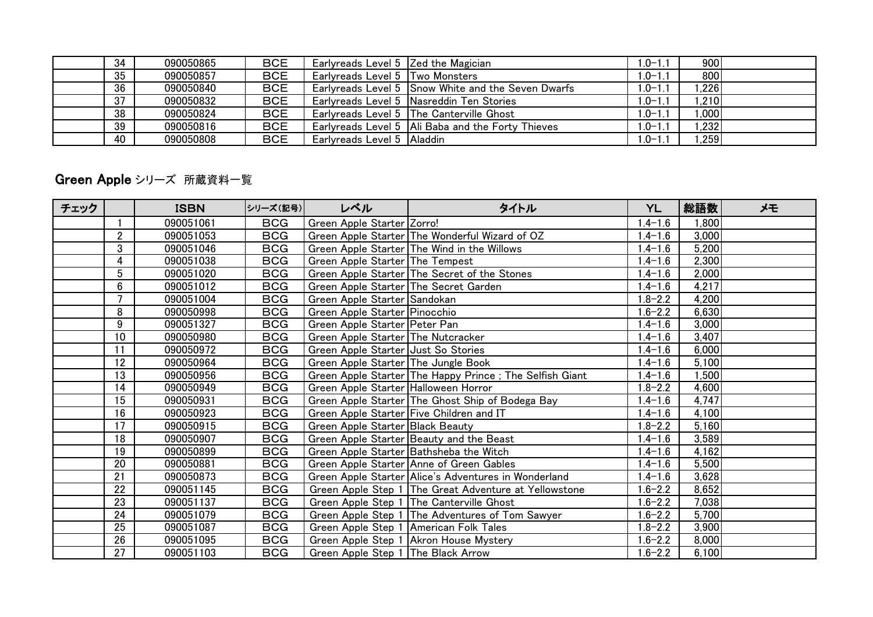| 34 | 090050865 | <b>BCE</b> | Earlyreads Level 5 Zed the Magician |                                                    | $1.0 - 1.1$ | 900   |  |
|----|-----------|------------|-------------------------------------|----------------------------------------------------|-------------|-------|--|
| 35 | 090050857 | <b>BCE</b> | Earlyreads Level 5   Two Monsters   |                                                    | $1.0 - 1$   | 800   |  |
| 36 | 090050840 | <b>BCE</b> |                                     | Earlyreads Level 5 Snow White and the Seven Dwarfs | $1.0 - 1.1$ | 1,226 |  |
| 37 | 090050832 | <b>BCE</b> |                                     | Earlyreads Level 5 Nasreddin Ten Stories           | $1.0 - 1$   | 1,210 |  |
| 38 | 090050824 | <b>BCE</b> |                                     | Earlyreads Level 5 The Canterville Ghost           | $1.0 - 1$   | 1,000 |  |
| 39 | 090050816 | <b>BCE</b> |                                     | Earlyreads Level 5 Ali Baba and the Forty Thieves  | $1.0 - 1.1$ | 1,232 |  |
| 40 | 090050808 | <b>BCE</b> | Earlyreads Level 5 Aladdin          |                                                    | $1.0 - 1$   | 1,259 |  |

## Green Apple シリーズ 所蔵資料一覧

| チェック |                 | <b>ISBN</b> | シリーズ(記号)   | レベル                                   | タイトル                                                    | <b>YL</b>   | 総語数   | メモ |
|------|-----------------|-------------|------------|---------------------------------------|---------------------------------------------------------|-------------|-------|----|
|      |                 | 090051061   | <b>BCG</b> | Green Apple Starter Zorro!            |                                                         | $1.4 - 1.6$ | 1.800 |    |
|      | $\overline{2}$  | 090051053   | <b>BCG</b> |                                       | Green Apple Starter The Wonderful Wizard of OZ          | $1.4 - 1.6$ | 3,000 |    |
|      | 3               | 090051046   | <b>BCG</b> |                                       | Green Apple Starter The Wind in the Willows             | $.4 - 1.6$  | 5,200 |    |
|      | 4               | 090051038   | <b>BCG</b> | Green Apple Starter The Tempest       |                                                         | $.4 - 1.6$  | 2,300 |    |
|      | 5               | 090051020   | <b>BCG</b> |                                       | Green Apple Starter The Secret of the Stones            | $1.4 - 1.6$ | 2,000 |    |
|      | 6               | 090051012   | <b>BCG</b> | Green Apple Starter The Secret Garden |                                                         | $1.4 - 1.6$ | 4,217 |    |
|      | 7               | 090051004   | <b>BCG</b> | Green Apple Starter Sandokan          |                                                         | $1.8 - 2.2$ | 4,200 |    |
|      | 8               | 090050998   | <b>BCG</b> | Green Apple Starter Pinocchio         |                                                         | $1.6 - 2.2$ | 6,630 |    |
|      | 9               | 090051327   | <b>BCG</b> | Green Apple Starter   Peter Pan       |                                                         | $1.4 - 1.6$ | 3,000 |    |
|      | 10 <sup>°</sup> | 090050980   | <b>BCG</b> | Green Apple Starter The Nutcracker    |                                                         | $.4 - 1.6$  | 3,407 |    |
|      | 11              | 090050972   | <b>BCG</b> | Green Apple Starter Just So Stories   |                                                         | $1.4 - 1.6$ | 6,000 |    |
|      | 12              | 090050964   | <b>BCG</b> | Green Apple Starter The Jungle Book   |                                                         | $.4 - 1.6$  | 5,100 |    |
|      | 13              | 090050956   | <b>BCG</b> |                                       | Green Apple Starter The Happy Prince; The Selfish Giant | $.4 - 1.6$  | 1,500 |    |
|      | 14              | 090050949   | <b>BCG</b> | Green Apple Starter Halloween Horror  |                                                         | $1.8 - 2.2$ | 4,600 |    |
|      | 15              | 090050931   | <b>BCG</b> |                                       | Green Apple Starter The Ghost Ship of Bodega Bay        | $1.4 - 1.6$ | 4,747 |    |
|      | 16              | 090050923   | <b>BCG</b> |                                       | Green Apple Starter Five Children and IT                | $.4 - 1.6$  | 4,100 |    |
|      | 17              | 090050915   | <b>BCG</b> | Green Apple Starter Black Beauty      |                                                         | $.8 - 2.2$  | 5,160 |    |
|      | 18              | 090050907   | <b>BCG</b> |                                       | Green Apple Starter Beauty and the Beast                | $1.4 - 1.6$ | 3,589 |    |
|      | 19              | 090050899   | <b>BCG</b> |                                       | Green Apple Starter Bathsheba the Witch                 | $1.4 - 1.6$ | 4,162 |    |
|      | 20              | 090050881   | <b>BCG</b> |                                       | Green Apple Starter Anne of Green Gables                | $.4 - 1.6$  | 5,500 |    |
|      | 21              | 090050873   | <b>BCG</b> |                                       | Green Apple Starter Alice's Adventures in Wonderland    | $1.4 - 1.6$ | 3,628 |    |
|      | 22              | 090051145   | <b>BCG</b> |                                       | Green Apple Step 1 The Great Adventure at Yellowstone   | $.6 - 2.2$  | 8,652 |    |
|      | 23              | 090051137   | <b>BCG</b> |                                       | Green Apple Step 1 The Canterville Ghost                | $1.6 - 2.2$ | 7,038 |    |
|      | 24              | 090051079   | <b>BCG</b> |                                       | Green Apple Step 1 The Adventures of Tom Sawyer         | $1.6 - 2.2$ | 5,700 |    |
|      | 25              | 090051087   | <b>BCG</b> |                                       | Green Apple Step 1 American Folk Tales                  | $.8 - 2.2$  | 3,900 |    |
|      | 26              | 090051095   | <b>BCG</b> |                                       | Green Apple Step 1 Akron House Mystery                  | $.6 - 2.2$  | 8,000 |    |
|      | 27              | 090051103   | <b>BCG</b> | Green Apple Step 1 The Black Arrow    |                                                         | $1.6 - 2.2$ | 6,100 |    |